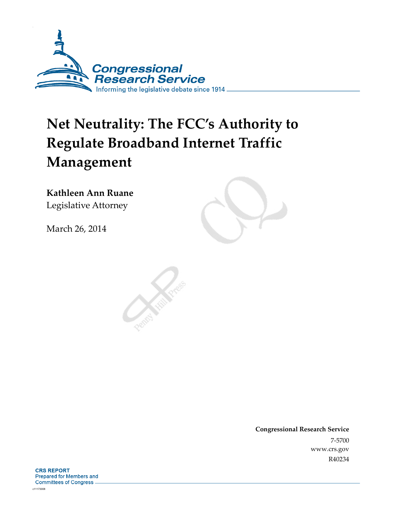

# **Net Neutrality: The FCC's Authority to Regulate Broadband Internet Traffic Management**

**Kathleen Ann Ruane**  Legislative Attorney

March 26, 2014

**Congressional Research Service**  7-5700 www.crs.gov R40234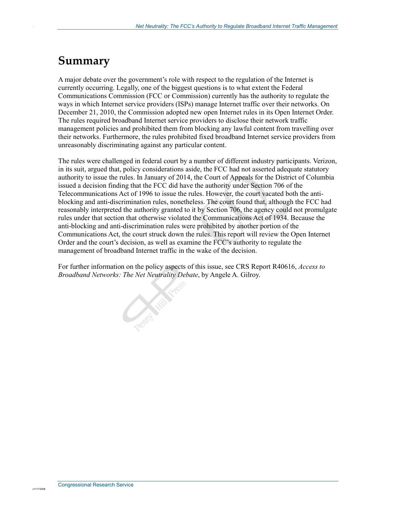## **Summary**

.

A major debate over the government's role with respect to the regulation of the Internet is currently occurring. Legally, one of the biggest questions is to what extent the Federal Communications Commission (FCC or Commission) currently has the authority to regulate the ways in which Internet service providers (ISPs) manage Internet traffic over their networks. On December 21, 2010, the Commission adopted new open Internet rules in its Open Internet Order. The rules required broadband Internet service providers to disclose their network traffic management policies and prohibited them from blocking any lawful content from travelling over their networks. Furthermore, the rules prohibited fixed broadband Internet service providers from unreasonably discriminating against any particular content.

The rules were challenged in federal court by a number of different industry participants. Verizon, in its suit, argued that, policy considerations aside, the FCC had not asserted adequate statutory authority to issue the rules. In January of 2014, the Court of Appeals for the District of Columbia issued a decision finding that the FCC did have the authority under Section 706 of the Telecommunications Act of 1996 to issue the rules. However, the court vacated both the antiblocking and anti-discrimination rules, nonetheless. The court found that, although the FCC had reasonably interpreted the authority granted to it by Section 706, the agency could not promulgate rules under that section that otherwise violated the Communications Act of 1934. Because the anti-blocking and anti-discrimination rules were prohibited by another portion of the Communications Act, the court struck down the rules. This report will review the Open Internet Order and the court's decision, as well as examine the FCC's authority to regulate the management of broadband Internet traffic in the wake of the decision.

For further information on the policy aspects of this issue, see CRS Report R40616, *Access to Broadband Networks: The Net Neutrality Debate*, by Angele A. Gilroy.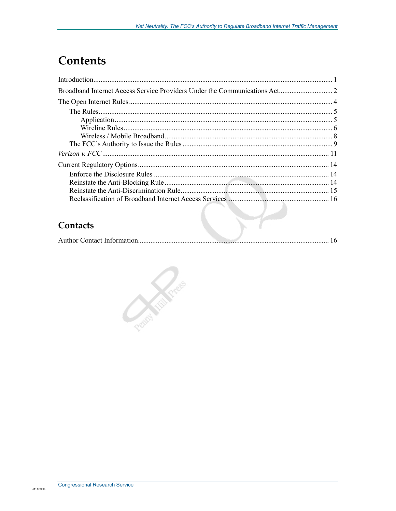## **Contents**

| Contacts |  |
|----------|--|

## **Contacts**

|--|--|--|

**Contraction Contraction**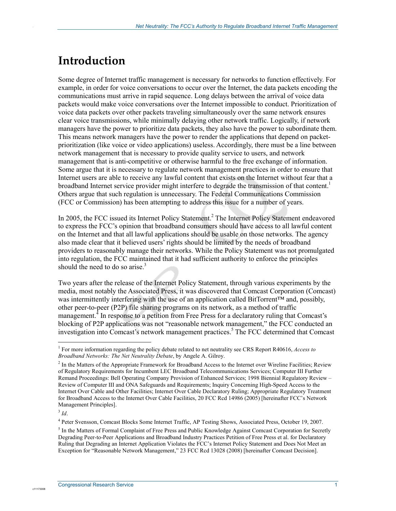## **Introduction**

.

Some degree of Internet traffic management is necessary for networks to function effectively. For example, in order for voice conversations to occur over the Internet, the data packets encoding the communications must arrive in rapid sequence. Long delays between the arrival of voice data packets would make voice conversations over the Internet impossible to conduct. Prioritization of voice data packets over other packets traveling simultaneously over the same network ensures clear voice transmissions, while minimally delaying other network traffic. Logically, if network managers have the power to prioritize data packets, they also have the power to subordinate them. This means network managers have the power to render the applications that depend on packetprioritization (like voice or video applications) useless. Accordingly, there must be a line between network management that is necessary to provide quality service to users, and network management that is anti-competitive or otherwise harmful to the free exchange of information. Some argue that it is necessary to regulate network management practices in order to ensure that Internet users are able to receive any lawful content that exists on the Internet without fear that a broadband Internet service provider might interfere to degrade the transmission of that content.<sup>1</sup> Others argue that such regulation is unnecessary. The Federal Communications Commission (FCC or Commission) has been attempting to address this issue for a number of years.

In 2005, the FCC issued its Internet Policy Statement.<sup>2</sup> The Internet Policy Statement endeavored to express the FCC's opinion that broadband consumers should have access to all lawful content on the Internet and that all lawful applications should be usable on those networks. The agency also made clear that it believed users' rights should be limited by the needs of broadband providers to reasonably manage their networks. While the Policy Statement was not promulgated into regulation, the FCC maintained that it had sufficient authority to enforce the principles should the need to do so arise.<sup>3</sup>

Two years after the release of the Internet Policy Statement, through various experiments by the media, most notably the Associated Press, it was discovered that Comcast Corporation (Comcast) was intermittently interfering with the use of an application called BitTorrent™ and, possibly, other peer-to-peer (P2P) file sharing programs on its network, as a method of traffic management.<sup>4</sup> In response to a petition from Free Press for a declaratory ruling that Comcast's blocking of P2P applications was not "reasonable network management," the FCC conducted an investigation into Comcast's network management practices.<sup>5</sup> The FCC determined that Comcast

1

<sup>1</sup> For more information regarding the policy debate related to net neutrality see CRS Report R40616, *Access to Broadband Networks: The Net Neutrality Debate*, by Angele A. Gilroy.

<sup>&</sup>lt;sup>2</sup> In the Matters of the Appropriate Framework for Broadband Access to the Internet over Wireline Facilities; Review of Regulatory Requirements for Incumbent LEC Broadband Telecommunications Services; Computer III Further Remand Proceedings: Bell Operating Company Provision of Enhanced Services; 1998 Biennial Regulatory Review – Review of Computer III and ONA Safeguards and Requirements; Inquiry Concerning High-Speed Access to the Internet Over Cable and Other Facilities; Internet Over Cable Declaratory Ruling; Appropriate Regulatory Treatment for Broadband Access to the Internet Over Cable Facilities, 20 FCC Rcd 14986 (2005) [hereinafter FCC's Network Management Principles].

 $3$  *Id.* 

<sup>4</sup> Peter Svensson, Comcast Blocks Some Internet Traffic, AP Testing Shows, Associated Press, October 19, 2007.

<sup>&</sup>lt;sup>5</sup> In the Matters of Formal Complaint of Free Press and Public Knowledge Against Comcast Corporation for Secretly Degrading Peer-to-Peer Applications and Broadband Industry Practices Petition of Free Press et al. for Declaratory Ruling that Degrading an Internet Application Violates the FCC's Internet Policy Statement and Does Not Meet an Exception for "Reasonable Network Management," 23 FCC Rcd 13028 (2008) [hereinafter Comcast Decision].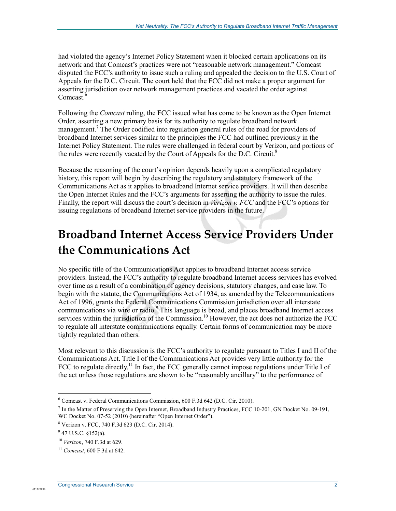had violated the agency's Internet Policy Statement when it blocked certain applications on its network and that Comcast's practices were not "reasonable network management." Comcast disputed the FCC's authority to issue such a ruling and appealed the decision to the U.S. Court of Appeals for the D.C. Circuit. The court held that the FCC did not make a proper argument for asserting jurisdiction over network management practices and vacated the order against Comcast.<sup>6</sup>

Following the *Comcast* ruling, the FCC issued what has come to be known as the Open Internet Order, asserting a new primary basis for its authority to regulate broadband network management.<sup>7</sup> The Order codified into regulation general rules of the road for providers of broadband Internet services similar to the principles the FCC had outlined previously in the Internet Policy Statement. The rules were challenged in federal court by Verizon, and portions of the rules were recently vacated by the Court of Appeals for the D.C. Circuit.<sup>8</sup>

Because the reasoning of the court's opinion depends heavily upon a complicated regulatory history, this report will begin by describing the regulatory and statutory framework of the Communications Act as it applies to broadband Internet service providers. It will then describe the Open Internet Rules and the FCC's arguments for asserting the authority to issue the rules. Finally, the report will discuss the court's decision in *Verizon v. FCC* and the FCC's options for issuing regulations of broadband Internet service providers in the future.

## **Broadband Internet Access Service Providers Under the Communications Act**

No specific title of the Communications Act applies to broadband Internet access service providers. Instead, the FCC's authority to regulate broadband Internet access services has evolved over time as a result of a combination of agency decisions, statutory changes, and case law. To begin with the statute, the Communications Act of 1934, as amended by the Telecommunications Act of 1996, grants the Federal Communications Commission jurisdiction over all interstate communications via wire or radio.<sup>9</sup> This language is broad, and places broadband Internet access services within the jurisdiction of the Commission.<sup>10</sup> However, the act does not authorize the FCC to regulate all interstate communications equally. Certain forms of communication may be more tightly regulated than others.

Most relevant to this discussion is the FCC's authority to regulate pursuant to Titles I and II of the Communications Act. Title I of the Communications Act provides very little authority for the FCC to regulate directly.<sup>11</sup> In fact, the FCC generally cannot impose regulations under Title I of the act unless those regulations are shown to be "reasonably ancillary" to the performance of

1

c11173008

<sup>6</sup> Comcast v. Federal Communications Commission, 600 F.3d 642 (D.C. Cir. 2010).

<sup>&</sup>lt;sup>7</sup> In the Matter of Preserving the Open Internet, Broadband Industry Practices, FCC 10-201, GN Docket No. 09-191, WC Docket No. 07-52 (2010) (hereinafter "Open Internet Order").

<sup>8</sup> Verizon v. FCC, 740 F.3d 623 (D.C. Cir. 2014).

 $9$  47 U.S.C. §152(a).

<sup>10</sup> *Verizon*, 740 F.3d at 629.

<sup>11</sup> *Comcast*, 600 F.3d at 642.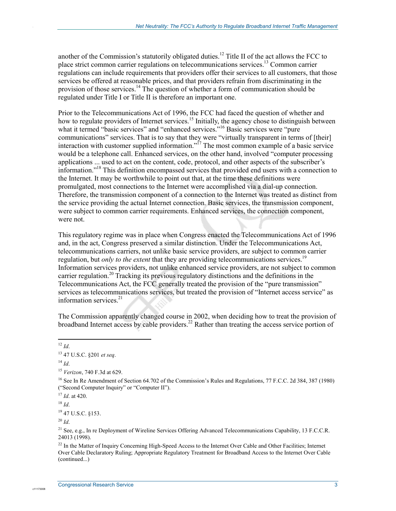another of the Commission's statutorily obligated duties.<sup>12</sup> Title II of the act allows the FCC to place strict common carrier regulations on telecommunications services.13 Common carrier regulations can include requirements that providers offer their services to all customers, that those services be offered at reasonable prices, and that providers refrain from discriminating in the provision of those services.<sup>14</sup> The question of whether a form of communication should be regulated under Title I or Title II is therefore an important one.

Prior to the Telecommunications Act of 1996, the FCC had faced the question of whether and how to regulate providers of Internet services.<sup>15</sup> Initially, the agency chose to distinguish between what it termed "basic services" and "enhanced services."<sup>16</sup> Basic services were "pure communications" services. That is to say that they were "virtually transparent in terms of [their] interaction with customer supplied information."<sup>17</sup> The most common example of a basic service would be a telephone call. Enhanced services, on the other hand, involved "computer processing applications ... used to act on the content, code, protocol, and other aspects of the subscriber's information."18 This definition encompassed services that provided end users with a connection to the Internet. It may be worthwhile to point out that, at the time these definitions were promulgated, most connections to the Internet were accomplished via a dial-up connection. Therefore, the transmission component of a connection to the Internet was treated as distinct from the service providing the actual Internet connection. Basic services, the transmission component, were subject to common carrier requirements. Enhanced services, the connection component, were not.

This regulatory regime was in place when Congress enacted the Telecommunications Act of 1996 and, in the act, Congress preserved a similar distinction. Under the Telecommunications Act, telecommunications carriers, not unlike basic service providers, are subject to common carrier regulation, but *only to the extent* that they are providing telecommunications services.<sup>19</sup> Information services providers, not unlike enhanced service providers, are not subject to common carrier regulation.<sup>20</sup> Tracking its previous regulatory distinctions and the definitions in the Telecommunications Act, the FCC generally treated the provision of the "pure transmission" services as telecommunications services, but treated the provision of "Internet access service" as information services. $21$ 

The Commission apparently changed course in 2002, when deciding how to treat the provision of broadband Internet access by cable providers.<sup>22</sup> Rather than treating the access service portion of

<u>.</u>  $12$  *Id.* 

.

 $14$  *Id*.

<sup>17</sup> *Id*. at 420.

<sup>18</sup> *Id*.

19 47 U.S.C. §153.

<sup>20</sup> *Id*.

c1117300

<sup>21</sup> See, e.g., In re Deployment of Wireline Services Offering Advanced Telecommunications Capability, 13 F.C.C.R. 24013 (1998).

<sup>22</sup> In the Matter of Inquiry Concerning High-Speed Access to the Internet Over Cable and Other Facilities; Internet Over Cable Declaratory Ruling; Appropriate Regulatory Treatment for Broadband Access to the Internet Over Cable (continued...)

<sup>13 47</sup> U.S.C. §201 *et seq*.

<sup>15</sup> *Verizon*, 740 F.3d at 629.

<sup>&</sup>lt;sup>16</sup> See In Re Amendment of Section 64.702 of the Commission's Rules and Regulations, 77 F.C.C. 2d 384, 387 (1980) ("Second Computer Inquiry" or "Computer II").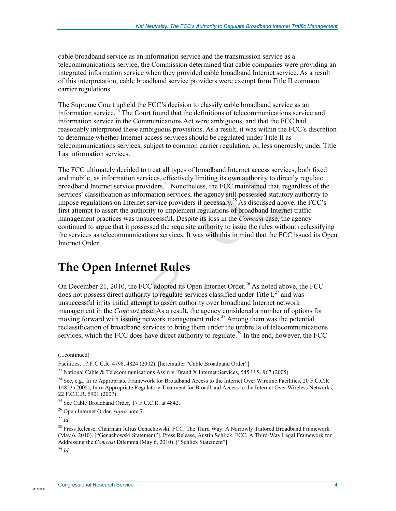cable broadband service as an information service and the transmission service as a telecommunications service, the Commission determined that cable companies were providing an integrated information service when they provided cable broadband Internet service. As a result of this interpretation, cable broadband service providers were exempt from Title II common carrier regulations.

The Supreme Court upheld the FCC's decision to classify cable broadband service as an information service.<sup>23</sup> The Court found that the definitions of telecommunications service and information service in the Communications Act were ambiguous, and that the FCC had reasonably interpreted these ambiguous provisions. As a result, it was within the FCC's discretion to determine whether Internet access services should be regulated under Title II as telecommunications services, subject to common carrier regulation, or, less onerously, under Title I as information services.

The FCC ultimately decided to treat all types of broadband Internet access services, both fixed and mobile, as information services, effectively limiting its own authority to directly regulate broadband Internet service providers.<sup>24</sup> Nonetheless, the FCC maintained that, regardless of the services' classification as information services, the agency still possessed statutory authority to impose regulations on Internet service providers if necessary.25 As discussed above, the FCC's first attempt to assert the authority to implement regulations of broadband Internet traffic management practices was unsuccessful. Despite its loss in the *Comcast* case, the agency continued to argue that it possessed the requisite authority to issue the rules without reclassifying the services as telecommunications services. It was with this in mind that the FCC issued its Open Internet Order.

## **The Open Internet Rules**

On December 21, 2010, the FCC adopted its Open Internet Order.<sup>26</sup> As noted above, the FCC does not possess direct authority to regulate services classified under Title  $I<sub>1</sub><sup>27</sup>$  and was unsuccessful in its initial attempt to assert authority over broadband Internet network management in the *Comcast* case. As a result, the agency considered a number of options for moving forward with issuing network management rules.<sup>28</sup> Among them was the potential reclassification of broadband services to bring them under the umbrella of telecommunications services, which the FCC does have direct authority to regulate.<sup>29</sup> In the end, however, the FCC

1

.

<sup>(...</sup>continued)

Facilities, 17 F.C.C.R. 4798, 4824 (2002). [hereinafter "Cable Broadband Order"]

<sup>&</sup>lt;sup>23</sup> National Cable & Telecommunications Ass'n v. Brand X Internet Services, 545 U.S. 967 (2005).

<sup>&</sup>lt;sup>24</sup> See, e.g., In re Appropriate Framework for Broadband Access to the Internet Over Wireline Facilities, 20 F.C.C.R. 14853 (2005), In re Appropriate Regulatory Treatment for Broadband Access to the Internet Over Wireless Networks, 22 F.C.C.R. 5901 (2007).

<sup>&</sup>lt;sup>25</sup> See Cable Broadband Order, 17 F.C.C.R. at 4842.

<sup>26</sup> Open Internet Order, *supra* note 7.

 $^{27}$  *Id.* 

<sup>&</sup>lt;sup>28</sup> Press Release, Chairman Julius Genachowski, FCC, The Third Way: A Narrowly Tailored Broadband Framework (May 6, 2010). ["Genachowski Statement"]. Press Release, Austin Schlick, FCC, A Third-Way Legal Framework for Addressing the *Comcast* Dilemma (May 6, 2010). ["Schlick Statement"].

<sup>29</sup> *Id.*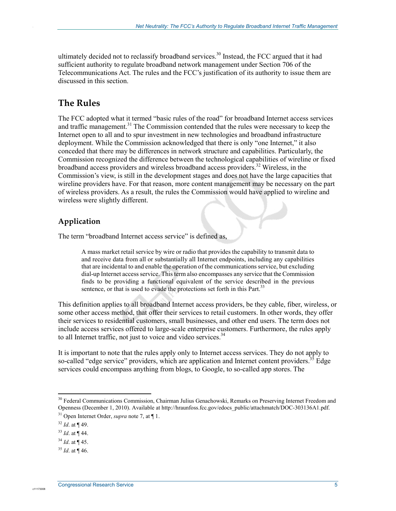ultimately decided not to reclassify broadband services.<sup>30</sup> Instead, the FCC argued that it had sufficient authority to regulate broadband network management under Section 706 of the Telecommunications Act. The rules and the FCC's justification of its authority to issue them are discussed in this section.

### **The Rules**

.

The FCC adopted what it termed "basic rules of the road" for broadband Internet access services and traffic management.<sup>31</sup> The Commission contended that the rules were necessary to keep the Internet open to all and to spur investment in new technologies and broadband infrastructure deployment. While the Commission acknowledged that there is only "one Internet," it also conceded that there may be differences in network structure and capabilities. Particularly, the Commission recognized the difference between the technological capabilities of wireline or fixed broadband access providers and wireless broadband access providers.<sup>32</sup> Wireless, in the Commission's view, is still in the development stages and does not have the large capacities that wireline providers have. For that reason, more content management may be necessary on the part of wireless providers. As a result, the rules the Commission would have applied to wireline and wireless were slightly different.

### **Application**

The term "broadband Internet access service" is defined as,

A mass market retail service by wire or radio that provides the capability to transmit data to and receive data from all or substantially all Internet endpoints, including any capabilities that are incidental to and enable the operation of the communications service, but excluding dial-up Internet access service. This term also encompasses any service that the Commission finds to be providing a functional equivalent of the service described in the previous sentence, or that is used to evade the protections set forth in this Part.<sup>33</sup>

This definition applies to all broadband Internet access providers, be they cable, fiber, wireless, or some other access method, that offer their services to retail customers. In other words, they offer their services to residential customers, small businesses, and other end users. The term does not include access services offered to large-scale enterprise customers. Furthermore, the rules apply to all Internet traffic, not just to voice and video services. $34$ 

It is important to note that the rules apply only to Internet access services. They do not apply to so-called "edge service" providers, which are application and Internet content providers.<sup>35</sup> Edge services could encompass anything from blogs, to Google, to so-called app stores. The

1

<sup>&</sup>lt;sup>30</sup> Federal Communications Commission, Chairman Julius Genachowski, Remarks on Preserving Internet Freedom and Openness (December 1, 2010). Available at http://hraunfoss.fcc.gov/edocs\_public/attachmatch/DOC-303136A1.pdf. 31 Open Internet Order, *supra* note 7, at ¶ 1.

 $32$  *Id.* at ¶ 49.

<sup>33</sup> *Id*. at ¶ 44.

<sup>34</sup> *Id*. at ¶ 45.

 $35$  *Id.* at ¶ 46.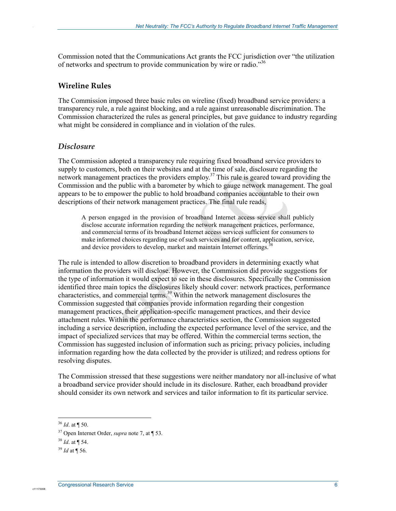Commission noted that the Communications Act grants the FCC jurisdiction over "the utilization of networks and spectrum to provide communication by wire or radio."36

#### **Wireline Rules**

.

The Commission imposed three basic rules on wireline (fixed) broadband service providers: a transparency rule, a rule against blocking, and a rule against unreasonable discrimination. The Commission characterized the rules as general principles, but gave guidance to industry regarding what might be considered in compliance and in violation of the rules.

#### *Disclosure*

The Commission adopted a transparency rule requiring fixed broadband service providers to supply to customers, both on their websites and at the time of sale, disclosure regarding the network management practices the providers employ.<sup>37</sup> This rule is geared toward providing the Commission and the public with a barometer by which to gauge network management. The goal appears to be to empower the public to hold broadband companies accountable to their own descriptions of their network management practices. The final rule reads,

A person engaged in the provision of broadband Internet access service shall publicly disclose accurate information regarding the network management practices, performance, and commercial terms of its broadband Internet access services sufficient for consumers to make informed choices regarding use of such services and for content, application, service, and device providers to develop, market and maintain Internet offerings.<sup>3</sup>

The rule is intended to allow discretion to broadband providers in determining exactly what information the providers will disclose. However, the Commission did provide suggestions for the type of information it would expect to see in these disclosures. Specifically the Commission identified three main topics the disclosures likely should cover: network practices, performance characteristics, and commercial terms.39 Within the network management disclosures the Commission suggested that companies provide information regarding their congestion management practices, their application-specific management practices, and their device attachment rules. Within the performance characteristics section, the Commission suggested including a service description, including the expected performance level of the service, and the impact of specialized services that may be offered. Within the commercial terms section, the Commission has suggested inclusion of information such as pricing; privacy policies, including information regarding how the data collected by the provider is utilized; and redress options for resolving disputes.

The Commission stressed that these suggestions were neither mandatory nor all-inclusive of what a broadband service provider should include in its disclosure. Rather, each broadband provider should consider its own network and services and tailor information to fit its particular service.

1

 $36$  *Id.* at ¶ 50.

<sup>37</sup> Open Internet Order, *supra* note 7, at ¶ 53.

<sup>38</sup> *Id*. at ¶ 54.

<sup>39</sup> *Id* at ¶ 56.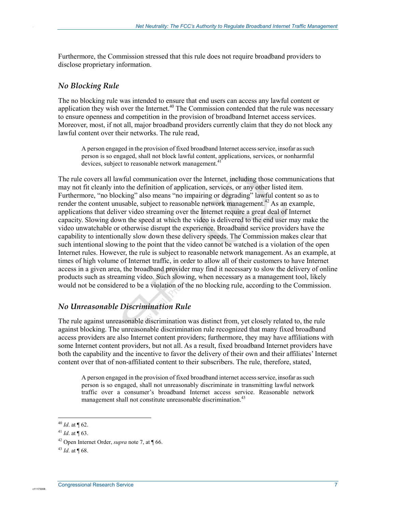Furthermore, the Commission stressed that this rule does not require broadband providers to disclose proprietary information.

#### *No Blocking Rule*

.

The no blocking rule was intended to ensure that end users can access any lawful content or application they wish over the Internet.<sup>40</sup> The Commission contended that the rule was necessary to ensure openness and competition in the provision of broadband Internet access services. Moreover, most, if not all, major broadband providers currently claim that they do not block any lawful content over their networks. The rule read,

A person engaged in the provision of fixed broadband Internet access service, insofar as such person is so engaged, shall not block lawful content, applications, services, or nonharmful devices, subject to reasonable network management.<sup>41</sup>

The rule covers all lawful communication over the Internet, including those communications that may not fit cleanly into the definition of application, services, or any other listed item. Furthermore, "no blocking" also means "no impairing or degrading" lawful content so as to render the content unusable, subject to reasonable network management.<sup>42</sup> As an example, applications that deliver video streaming over the Internet require a great deal of Internet capacity. Slowing down the speed at which the video is delivered to the end user may make the video unwatchable or otherwise disrupt the experience. Broadband service providers have the capability to intentionally slow down these delivery speeds. The Commission makes clear that such intentional slowing to the point that the video cannot be watched is a violation of the open Internet rules. However, the rule is subject to reasonable network management. As an example, at times of high volume of Internet traffic, in order to allow all of their customers to have Internet access in a given area, the broadband provider may find it necessary to slow the delivery of online products such as streaming video. Such slowing, when necessary as a management tool, likely would not be considered to be a violation of the no blocking rule, according to the Commission.

#### *No Unreasonable Discrimination Rule*

The rule against unreasonable discrimination was distinct from, yet closely related to, the rule against blocking. The unreasonable discrimination rule recognized that many fixed broadband access providers are also Internet content providers; furthermore, they may have affiliations with some Internet content providers, but not all. As a result, fixed broadband Internet providers have both the capability and the incentive to favor the delivery of their own and their affiliates' Internet content over that of non-affiliated content to their subscribers. The rule, therefore, stated,

A person engaged in the provision of fixed broadband internet access service, insofar as such person is so engaged, shall not unreasonably discriminate in transmitting lawful network traffic over a consumer's broadband Internet access service. Reasonable network management shall not constitute unreasonable discrimination.<sup>43</sup>

1

 $40$  *Id.* at  $\P$  62.

<sup>41</sup> *Id*. at ¶ 63.

<sup>42</sup> Open Internet Order, *supra* note 7, at ¶ 66.

 $^{43}$  *Id.* at  $\P$  68.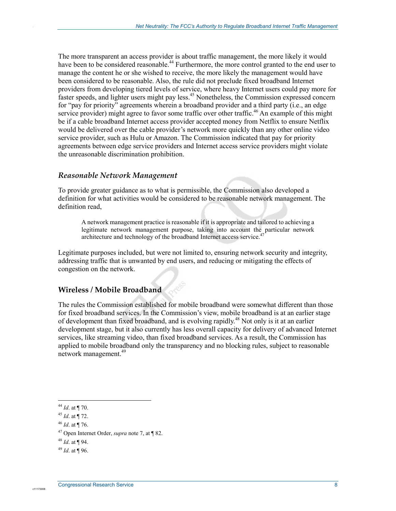The more transparent an access provider is about traffic management, the more likely it would have been to be considered reasonable.<sup>44</sup> Furthermore, the more control granted to the end user to manage the content he or she wished to receive, the more likely the management would have been considered to be reasonable. Also, the rule did not preclude fixed broadband Internet providers from developing tiered levels of service, where heavy Internet users could pay more for faster speeds, and lighter users might pay less.<sup>45</sup> Nonetheless, the Commission expressed concern for "pay for priority" agreements wherein a broadband provider and a third party (i.e., an edge service provider) might agree to favor some traffic over other traffic.<sup>46</sup> An example of this might be if a cable broadband Internet access provider accepted money from Netflix to ensure Netflix would be delivered over the cable provider's network more quickly than any other online video service provider, such as Hulu or Amazon. The Commission indicated that pay for priority agreements between edge service providers and Internet access service providers might violate the unreasonable discrimination prohibition.

#### *Reasonable Network Management*

.

To provide greater guidance as to what is permissible, the Commission also developed a definition for what activities would be considered to be reasonable network management. The definition read,

A network management practice is reasonable if it is appropriate and tailored to achieving a legitimate network management purpose, taking into account the particular network architecture and technology of the broadband Internet access service.<sup>4</sup>

Legitimate purposes included, but were not limited to, ensuring network security and integrity, addressing traffic that is unwanted by end users, and reducing or mitigating the effects of congestion on the network.

#### **Wireless / Mobile Broadband**

The rules the Commission established for mobile broadband were somewhat different than those for fixed broadband services. In the Commission's view, mobile broadband is at an earlier stage of development than fixed broadband, and is evolving rapidly.<sup>48</sup> Not only is it at an earlier development stage, but it also currently has less overall capacity for delivery of advanced Internet services, like streaming video, than fixed broadband services. As a result, the Commission has applied to mobile broadband only the transparency and no blocking rules, subject to reasonable network management.<sup>49</sup>

<sup>1</sup> <sup>44</sup> *Id*. at ¶ 70.

<sup>45</sup> *Id*. at ¶ 72.

<sup>46</sup> *Id*. at ¶ 76.

<sup>47</sup> Open Internet Order, *supra* note 7, at ¶ 82.

<sup>48</sup> *Id*. at ¶ 94.

 $^{49}$  *Id.* at ¶ 96.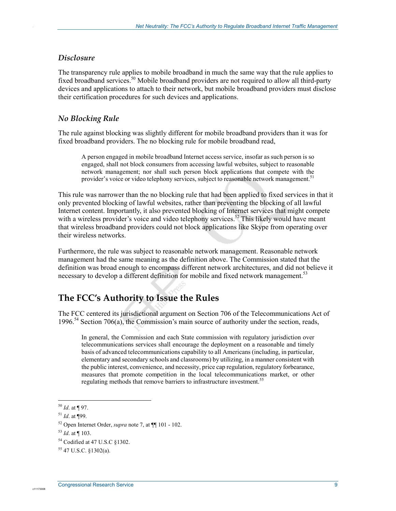#### *Disclosure*

.

The transparency rule applies to mobile broadband in much the same way that the rule applies to fixed broadband services.<sup>50</sup> Mobile broadband providers are not required to allow all third-party devices and applications to attach to their network, but mobile broadband providers must disclose their certification procedures for such devices and applications.

#### *No Blocking Rule*

The rule against blocking was slightly different for mobile broadband providers than it was for fixed broadband providers. The no blocking rule for mobile broadband read,

A person engaged in mobile broadband Internet access service, insofar as such person is so engaged, shall not block consumers from accessing lawful websites, subject to reasonable network management; nor shall such person block applications that compete with the provider's voice or video telephony services, subject to reasonable network management.<sup>51</sup>

This rule was narrower than the no blocking rule that had been applied to fixed services in that it only prevented blocking of lawful websites, rather than preventing the blocking of all lawful Internet content. Importantly, it also prevented blocking of Internet services that might compete with a wireless provider's voice and video telephony services.<sup>52</sup> This likely would have meant that wireless broadband providers could not block applications like Skype from operating over their wireless networks.

Furthermore, the rule was subject to reasonable network management. Reasonable network management had the same meaning as the definition above. The Commission stated that the definition was broad enough to encompass different network architectures, and did not believe it necessary to develop a different definition for mobile and fixed network management.<sup>53</sup>

### **The FCC's Authority to Issue the Rules**

The FCC centered its jurisdictional argument on Section 706 of the Telecommunications Act of 1996.<sup>54</sup> Section 706(a), the Commission's main source of authority under the section, reads,

In general, the Commission and each State commission with regulatory jurisdiction over telecommunications services shall encourage the deployment on a reasonable and timely basis of advanced telecommunications capability to all Americans (including, in particular, elementary and secondary schools and classrooms) by utilizing, in a manner consistent with the public interest, convenience, and necessity, price cap regulation, regulatory forbearance, measures that promote competition in the local telecommunications market, or other regulating methods that remove barriers to infrastructure investment.<sup>55</sup>

1

<sup>50</sup> *Id*. at ¶ 97.

<sup>51</sup> *Id*. at ¶99.

<sup>52</sup> Open Internet Order, *supra* note 7, at ¶¶ 101 - 102.

<sup>53</sup> *Id*. at ¶ 103.

<sup>54</sup> Codified at 47 U.S.C §1302.

<sup>55 47</sup> U.S.C. §1302(a).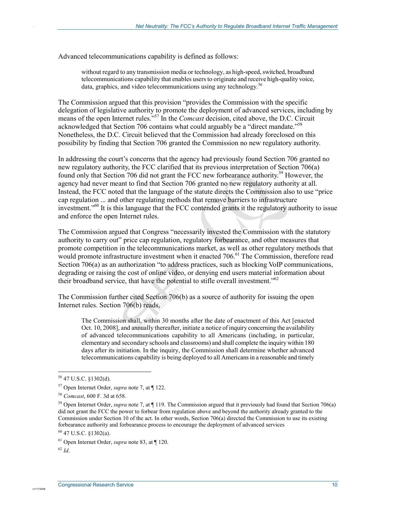Advanced telecommunications capability is defined as follows:

without regard to any transmission media or technology, as high-speed, switched, broadband telecommunications capability that enables users to originate and receive high-quality voice, data, graphics, and video telecommunications using any technology.<sup>56</sup>

The Commission argued that this provision "provides the Commission with the specific delegation of legislative authority to promote the deployment of advanced services, including by means of the open Internet rules."57 In the *Comcast* decision, cited above, the D.C. Circuit acknowledged that Section 706 contains what could arguably be a "direct mandate."<sup>58</sup> Nonetheless, the D.C. Circuit believed that the Commission had already foreclosed on this possibility by finding that Section 706 granted the Commission no new regulatory authority.

In addressing the court's concerns that the agency had previously found Section 706 granted no new regulatory authority, the FCC clarified that its previous interpretation of Section 706(a) found only that Section 706 did not grant the FCC new forbearance authority.<sup>59</sup> However, the agency had never meant to find that Section 706 granted no new regulatory authority at all. Instead, the FCC noted that the language of the statute directs the Commission also to use "price cap regulation ... and other regulating methods that remove barriers to infrastructure investment."60 It is this language that the FCC contended grants it the regulatory authority to issue and enforce the open Internet rules.

The Commission argued that Congress "necessarily invested the Commission with the statutory authority to carry out" price cap regulation, regulatory forbearance, and other measures that promote competition in the telecommunications market, as well as other regulatory methods that would promote infrastructure investment when it enacted 706.<sup>61</sup> The Commission, therefore read Section 706(a) as an authorization "to address practices, such as blocking VoIP communications, degrading or raising the cost of online video, or denying end users material information about their broadband service, that have the potential to stifle overall investment."<sup>62</sup>

The Commission further cited Section 706(b) as a source of authority for issuing the open Internet rules. Section 706(b) reads,

The Commission shall, within 30 months after the date of enactment of this Act [enacted Oct. 10, 2008], and annually thereafter, initiate a notice of inquiry concerning the availability of advanced telecommunications capability to all Americans (including, in particular, elementary and secondary schools and classrooms) and shall complete the inquiry within 180 days after its initiation. In the inquiry, the Commission shall determine whether advanced telecommunications capability is being deployed to all Americans in a reasonable and timely

c11173008

1

<sup>56 47</sup> U.S.C. §1302(d).

<sup>57</sup> Open Internet Order, *supra* note 7, at ¶ 122.

<sup>58</sup> *Comcast*, 600 F. 3d at 658.

<sup>59</sup> Open Internet Order, *supra* note 7, at ¶ 119. The Commission argued that it previously had found that Section 706(a) did not grant the FCC the power to forbear from regulation above and beyond the authority already granted to the Commission under Section 10 of the act. In other words, Section 706(a) directed the Commission to use its existing forbearance authority and forbearance process to encourage the deployment of advanced services

<sup>60 47</sup> U.S.C. §1302(a).

<sup>61</sup> Open Internet Order, *supra* note 83, at ¶ 120.

<sup>62</sup> *Id*.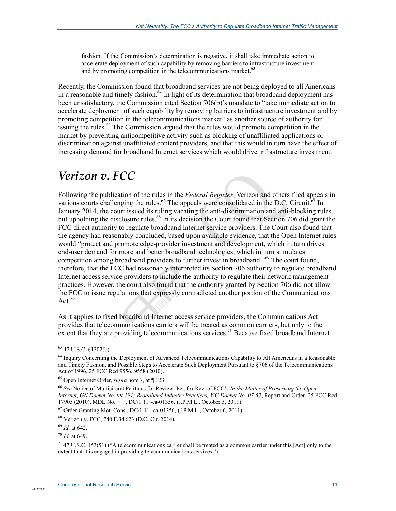fashion. If the Commission's determination is negative, it shall take immediate action to accelerate deployment of such capability by removing barriers to infrastructure investment and by promoting competition in the telecommunications market.<sup>63</sup>

Recently, the Commission found that broadband services are not being deployed to all Americans in a reasonable and timely fashion.<sup>64</sup> In light of its determination that broadband deployment has been unsatisfactory, the Commission cited Section 706(b)'s mandate to "take immediate action to accelerate deployment of such capability by removing barriers to infrastructure investment and by promoting competition in the telecommunications market" as another source of authority for issuing the rules.<sup>65</sup> The Commission argued that the rules would promote competition in the market by preventing anticompetitive activity such as blocking of unaffiliated applications or discrimination against unaffiliated content providers, and that this would in turn have the effect of increasing demand for broadband Internet services which would drive infrastructure investment.

## *Verizon v. FCC*

Following the publication of the rules in the *Federal Register*, Verizon and others filed appeals in various courts challenging the rules.<sup>66</sup> The appeals were consolidated in the D.C. Circuit.<sup>67</sup> In January 2014, the court issued its ruling vacating the anti-discrimination and anti-blocking rules, but upholding the disclosure rules.<sup>68</sup> In its decision the Court found that Section 706 did grant the FCC direct authority to regulate broadband Internet service providers. The Court also found that the agency had reasonably concluded, based upon available evidence, that the Open Internet rules would "protect and promote edge-provider investment and development, which in turn drives end-user demand for more and better broadband technologies, which in turn stimulates competition among broadband providers to further invest in broadband.<sup>569</sup> The court found, therefore, that the FCC had reasonably interpreted its Section 706 authority to regulate broadband Internet access service providers to include the authority to regulate their network management practices. However, the court also found that the authority granted by Section 706 did not allow the FCC to issue regulations that expressly contradicted another portion of the Communications Act. $70$ 

As it applies to fixed broadband Internet access service providers, the Communications Act provides that telecommunications carriers will be treated as common carriers, but only to the extent that they are providing telecommunications services.<sup>71</sup> Because fixed broadband Internet

1

.

<sup>63 47</sup> U.S.C. §1302(b).

<sup>&</sup>lt;sup>64</sup> Inquiry Concerning the Deployment of Advanced Telecommunications Capability to All Americans in a Reasonable and Timely Fashion, and Possible Steps to Accelerate Such Deployment Pursuant to §706 of the Telecommunications Act of 1996, 25 FCC Rcd 9556, 9558 (2010).

<sup>65</sup> Open Internet Order, *supra* note 7, at ¶ 123.

<sup>66</sup> *See* Notice of Multicircuit Petitions for Review, Pet. for Rev. of FCC's *In the Matter of Preserving the Open Internet*, *GN Docket No. 09-191; Broadband Industry Practices, WC Docket No. 07-52*, Report and Order. 25 FCC Rcd 17905 (2010), MDL No. \_\_\_, DC/1:11 -ca-01356, (J.P.M.L., October 5, 2011).

 $^{67}$  Order Granting Mot. Cons., DC/1:11 -ca-01356, (J.P.M.L., October 6, 2011).

<sup>68</sup> Verizon v. FCC, 740 F.3d 623 (D.C. Cir. 2014).

<sup>69</sup> *Id*. at 642.

<sup>70</sup> *Id*. at 649.

 $71$  47 U.S.C. 153(51) ("A telecommunications carrier shall be treated as a common carrier under this [Act] only to the extent that it is engaged in providing telecommunications services.").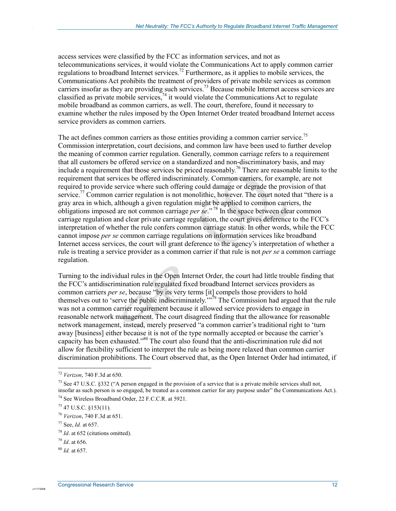access services were classified by the FCC as information services, and not as telecommunications services, it would violate the Communications Act to apply common carrier regulations to broadband Internet services.<sup>72</sup> Furthermore, as it applies to mobile services, the Communications Act prohibits the treatment of providers of private mobile services as common carriers insofar as they are providing such services.<sup>73</sup> Because mobile Internet access services are classified as private mobile services,  $74$  it would violate the Communications Act to regulate mobile broadband as common carriers, as well. The court, therefore, found it necessary to examine whether the rules imposed by the Open Internet Order treated broadband Internet access service providers as common carriers.

The act defines common carriers as those entities providing a common carrier service.<sup>75</sup> Commission interpretation, court decisions, and common law have been used to further develop the meaning of common carrier regulation. Generally, common carriage refers to a requirement that all customers be offered service on a standardized and non-discriminatory basis, and may include a requirement that those services be priced reasonably.76 There are reasonable limits to the requirement that services be offered indiscriminately. Common carriers, for example, are not required to provide service where such offering could damage or degrade the provision of that service.<sup>77</sup> Common carrier regulation is not monolithic, however. The court noted that "there is a gray area in which, although a given regulation might be applied to common carriers, the obligations imposed are not common carriage *per se*." 78 In the space between clear common carriage regulation and clear private carriage regulation, the court gives deference to the FCC's interpretation of whether the rule confers common carriage status. In other words, while the FCC cannot impose *per se* common carriage regulations on information services like broadband Internet access services, the court will grant deference to the agency's interpretation of whether a rule is treating a service provider as a common carrier if that rule is not *per se* a common carriage regulation.

Turning to the individual rules in the Open Internet Order, the court had little trouble finding that the FCC's antidiscrimination rule regulated fixed broadband Internet services providers as common carriers *per se*, because "by its very terms [it] compels those providers to hold themselves out to 'serve the public indiscriminately.<sup>'"79</sup> The Commission had argued that the rule was not a common carrier requirement because it allowed service providers to engage in reasonable network management. The court disagreed finding that the allowance for reasonable network management, instead, merely preserved "a common carrier's traditional right to 'turn away [business] either because it is not of the type normally accepted or because the carrier's capacity has been exhausted."80 The court also found that the anti-discrimination rule did not allow for flexibility sufficient to interpret the rule as being more relaxed than common carrier discrimination prohibitions. The Court observed that, as the Open Internet Order had intimated, if

1

.

<sup>72</sup> *Verizon*, 740 F.3d at 650.

<sup>&</sup>lt;sup>73</sup> See 47 U.S.C. §332 ("A person engaged in the provision of a service that is a private mobile services shall not, insofar as such person is so engaged, be treated as a common carrier for any purpose under" the Communications Act.). 74 See Wireless Broadband Order, 22 F.C.C.R. at 5921.

<sup>75 47</sup> U.S.C. §153(11).

<sup>76</sup> *Verizon*, 740 F.3d at 651.

<sup>77</sup> See, *Id.* at 657.

<sup>78</sup> *Id*. at 652 (citations omitted).

<sup>79</sup> *Id*. at 656.

<sup>80</sup> *Id.* at 657.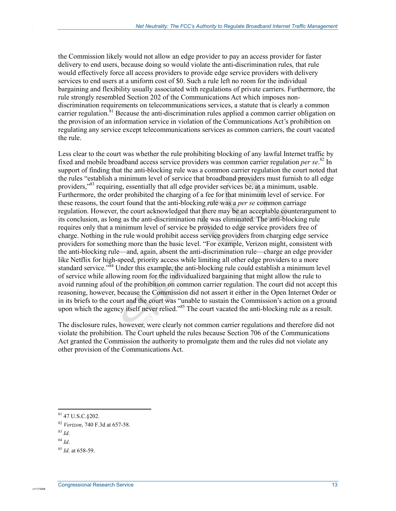the Commission likely would not allow an edge provider to pay an access provider for faster delivery to end users, because doing so would violate the anti-discrimination rules, that rule would effectively force all access providers to provide edge service providers with delivery services to end users at a uniform cost of \$0. Such a rule left no room for the individual bargaining and flexibility usually associated with regulations of private carriers. Furthermore, the rule strongly resembled Section 202 of the Communications Act which imposes nondiscrimination requirements on telecommunications services, a statute that is clearly a common carrier regulation.<sup>81</sup> Because the anti-discrimination rules applied a common carrier obligation on the provision of an information service in violation of the Communications Act's prohibition on regulating any service except telecommunications services as common carriers, the court vacated the rule.

Less clear to the court was whether the rule prohibiting blocking of any lawful Internet traffic by fixed and mobile broadband access service providers was common carrier regulation *per se*. 82 In support of finding that the anti-blocking rule was a common carrier regulation the court noted that the rules "establish a minimum level of service that broadband providers must furnish to all edge providers,<sup>383</sup> requiring, essentially that all edge provider services be, at a minimum, usable. Furthermore, the order prohibited the charging of a fee for that minimum level of service. For these reasons, the court found that the anti-blocking rule was a *per se* common carriage regulation. However, the court acknowledged that there may be an acceptable counterargument to its conclusion, as long as the anti-discrimination rule was eliminated. The anti-blocking rule requires only that a minimum level of service be provided to edge service providers free of charge. Nothing in the rule would prohibit access service providers from charging edge service providers for something more than the basic level. "For example, Verizon might, consistent with the anti-blocking rule—and, again, absent the anti-discrimination rule—charge an edge provider like Netflix for high-speed, priority access while limiting all other edge providers to a more standard service.<sup>384</sup> Under this example, the anti-blocking rule could establish a minimum level of service while allowing room for the individualized bargaining that might allow the rule to avoid running afoul of the prohibition on common carrier regulation. The court did not accept this reasoning, however, because the Commission did not assert it either in the Open Internet Order or in its briefs to the court and the court was "unable to sustain the Commission's action on a ground upon which the agency itself never relied."<sup>85</sup> The court vacated the anti-blocking rule as a result.

The disclosure rules, however, were clearly not common carrier regulations and therefore did not violate the prohibition. The Court upheld the rules because Section 706 of the Communications Act granted the Commission the authority to promulgate them and the rules did not violate any other provision of the Communications Act.

<sup>1</sup> 81 47 U.S.C.§202.

<sup>82</sup> *Verizon*, 740 F.3d at 657-58.

<sup>83</sup> *Id*.

<sup>84</sup> *Id*.

<sup>85</sup> *Id*. at 658-59.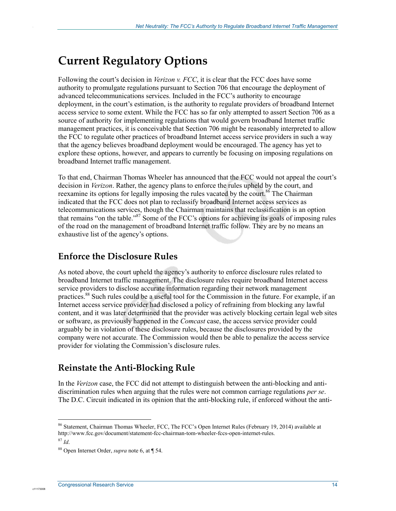## **Current Regulatory Options**

Following the court's decision in *Verizon v. FCC*, it is clear that the FCC does have some authority to promulgate regulations pursuant to Section 706 that encourage the deployment of advanced telecommunications services. Included in the FCC's authority to encourage deployment, in the court's estimation, is the authority to regulate providers of broadband Internet access service to some extent. While the FCC has so far only attempted to assert Section 706 as a source of authority for implementing regulations that would govern broadband Internet traffic management practices, it is conceivable that Section 706 might be reasonably interpreted to allow the FCC to regulate other practices of broadband Internet access service providers in such a way that the agency believes broadband deployment would be encouraged. The agency has yet to explore these options, however, and appears to currently be focusing on imposing regulations on broadband Internet traffic management.

To that end, Chairman Thomas Wheeler has announced that the FCC would not appeal the court's decision in *Verizon*. Rather, the agency plans to enforce the rules upheld by the court, and reexamine its options for legally imposing the rules vacated by the court.<sup>86</sup> The Chairman indicated that the FCC does not plan to reclassify broadband Internet access services as telecommunications services, though the Chairman maintains that reclassification is an option that remains "on the table."87 Some of the FCC's options for achieving its goals of imposing rules of the road on the management of broadband Internet traffic follow. They are by no means an exhaustive list of the agency's options.

## **Enforce the Disclosure Rules**

As noted above, the court upheld the agency's authority to enforce disclosure rules related to broadband Internet traffic management. The disclosure rules require broadband Internet access service providers to disclose accurate information regarding their network management practices.<sup>88</sup> Such rules could be a useful tool for the Commission in the future. For example, if an Internet access service provider had disclosed a policy of refraining from blocking any lawful content, and it was later determined that the provider was actively blocking certain legal web sites or software, as previously happened in the *Comcast* case, the access service provider could arguably be in violation of these disclosure rules, because the disclosures provided by the company were not accurate. The Commission would then be able to penalize the access service provider for violating the Commission's disclosure rules.

### **Reinstate the Anti-Blocking Rule**

In the *Verizon* case, the FCC did not attempt to distinguish between the anti-blocking and antidiscrimination rules when arguing that the rules were not common carriage regulations *per se*. The D.C. Circuit indicated in its opinion that the anti-blocking rule, if enforced without the anti-

c1117300

1

<sup>86</sup> Statement, Chairman Thomas Wheeler, FCC, The FCC's Open Internet Rules (February 19, 2014) available at http://www.fcc.gov/document/statement-fcc-chairman-tom-wheeler-fccs-open-internet-rules.

<sup>87</sup> *Id*.

<sup>88</sup> Open Internet Order, *supra* note 6, at ¶ 54.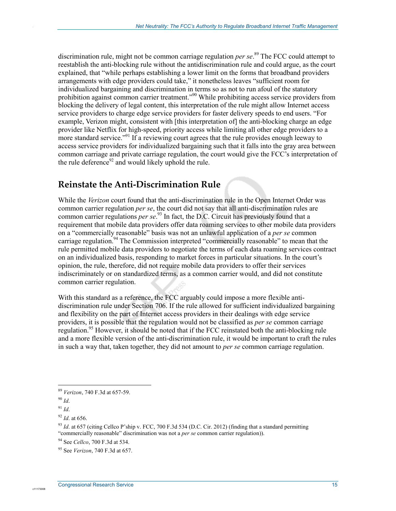discrimination rule, might not be common carriage regulation *per se*. 89 The FCC could attempt to reestablish the anti-blocking rule without the antidiscrimination rule and could argue, as the court explained, that "while perhaps establishing a lower limit on the forms that broadband providers arrangements with edge providers could take," it nonetheless leaves "sufficient room for individualized bargaining and discrimination in terms so as not to run afoul of the statutory prohibition against common carrier treatment."<sup>90</sup> While prohibiting access service providers from blocking the delivery of legal content, this interpretation of the rule might allow Internet access service providers to charge edge service providers for faster delivery speeds to end users. "For example, Verizon might, consistent with [this interpretation of] the anti-blocking charge an edge provider like Netflix for high-speed, priority access while limiting all other edge providers to a more standard service."<sup>91</sup> If a reviewing court agrees that the rule provides enough leeway to access service providers for individualized bargaining such that it falls into the gray area between common carriage and private carriage regulation, the court would give the FCC's interpretation of the rule deference $92$  and would likely uphold the rule.

### **Reinstate the Anti-Discrimination Rule**

While the *Verizon* court found that the anti-discrimination rule in the Open Internet Order was common carrier regulation *per se*, the court did not say that all anti-discrimination rules are common carrier regulations *per se*. 93 In fact, the D.C. Circuit has previously found that a requirement that mobile data providers offer data roaming services to other mobile data providers on a "commercially reasonable" basis was not an unlawful application of a *per se* common carriage regulation.<sup>94</sup> The Commission interpreted "commercially reasonable" to mean that the rule permitted mobile data providers to negotiate the terms of each data roaming services contract on an individualized basis, responding to market forces in particular situations. In the court's opinion, the rule, therefore, did not require mobile data providers to offer their services indiscriminately or on standardized terms, as a common carrier would, and did not constitute common carrier regulation.

With this standard as a reference, the FCC arguably could impose a more flexible antidiscrimination rule under Section 706. If the rule allowed for sufficient individualized bargaining and flexibility on the part of Internet access providers in their dealings with edge service providers, it is possible that the regulation would not be classified as *per se* common carriage regulation.<sup>95</sup> However, it should be noted that if the FCC reinstated both the anti-blocking rule and a more flexible version of the anti-discrimination rule, it would be important to craft the rules in such a way that, taken together, they did not amount to *per se* common carriage regulation.

1

.

<sup>89</sup> *Verizon*, 740 F.3d at 657-59.

<sup>90</sup> *Id*.

<sup>91</sup> *Id*.

<sup>92</sup> *Id*. at 656.

<sup>93</sup> *Id*. at 657 (citing Cellco P'ship v. FCC, 700 F.3d 534 (D.C. Cir. 2012) (finding that a standard permitting "commercially reasonable" discrimination was not a *per se* common carrier regulation)).

<sup>94</sup> See *Cellco*, 700 F.3d at 534.

<sup>95</sup> See *Verizon*, 740 F.3d at 657.